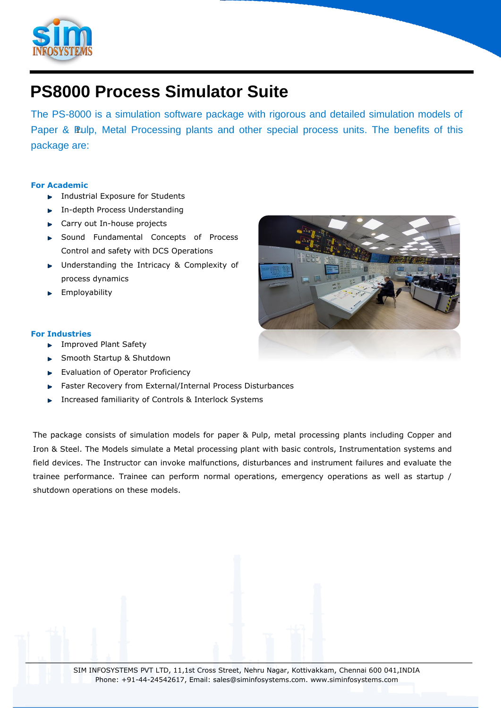

# **PS8000 Process Simulator Suite**

Paper & Pulp, Metal Processing plants and other special process units. The benefits of this The PS-8000 is a simulation software package with rigorous and detailed simulation models of package are:

## **For Academic**

- **Industrial Exposure for Students**
- ▶ In-depth Process Understanding
- **EX Carry out In-house projects**
- ▶ Sound Fundamental Concepts of Process Control and safety with DCS Operations
- **DIM** Understanding the Intricacy & Complexity of process dynamics
- **Employability**

### **For Industries**

- **F** Improved Plant Safety
- ▶ Smooth Startup & Shutdown
- Evaluation of Operator Proficiency
- Faster Recovery from External/Internal Process Disturbances
- **Increased familiarity of Controls & Interlock Systems**

The package consists of simulation models for paper & Pulp, metal processing plants including Copper and Iron & Steel. The Models simulate a Metal processing plant with basic controls, Instrumentation systems and field devices. The Instructor can invoke malfunctions, disturbances and instrument failures and evaluate the trainee performance. Trainee can perform normal operations, emergency operations as well as startup / shutdown operations on these models.